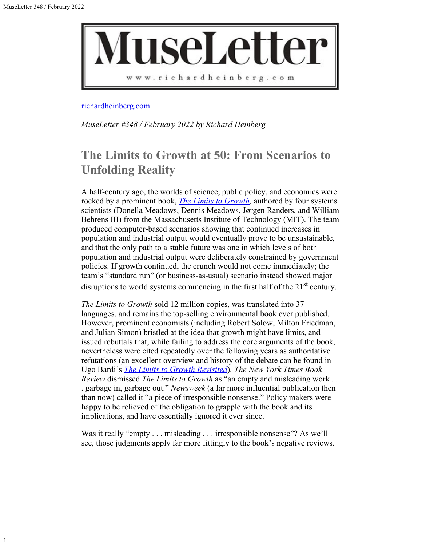1



[richardheinberg.com](http://richardheinberg.com/)

*MuseLetter #348 / February 2022 by Richard Heinberg*

## **The Limits to Growth at 50: From Scenarios to Unfolding Reality**

A half-century ago, the worlds of science, public policy, and economics were rocked by a prominent book, *[The Limits to Growth](https://www.donellameadows.org/wp-content/userfiles/Limits-to-Growth-digital-scan-version.pdf),* authored by four systems scientists (Donella Meadows, Dennis Meadows, Jørgen Randers, and William Behrens III) from the Massachusetts Institute of Technology (MIT). The team produced computer-based scenarios showing that continued increases in population and industrial output would eventually prove to be unsustainable, and that the only path to a stable future was one in which levels of both population and industrial output were deliberately constrained by government policies. If growth continued, the crunch would not come immediately; the team's "standard run" (or business-as-usual) scenario instead showed major disruptions to world systems commencing in the first half of the  $21<sup>st</sup>$  century.

*The Limits to Growth* sold 12 million copies, was translated into 37 languages, and remains the top-selling environmental book ever published. However, prominent economists (including Robert Solow, Milton Friedman, and Julian Simon) bristled at the idea that growth might have limits, and issued rebuttals that, while failing to address the core arguments of the book, nevertheless were cited repeatedly over the following years as authoritative refutations (an excellent overview and history of the debate can be found in Ugo Bardi's *[The Limits to Growth Revisited](https://link.springer.com/book/10.1007/978-1-4419-9416-5#about)*)*. The New York Times Book Review* dismissed *The Limits to Growth* as "an empty and misleading work . . . garbage in, garbage out." *Newsweek* (a far more influential publication then than now) called it "a piece of irresponsible nonsense." Policy makers were happy to be relieved of the obligation to grapple with the book and its implications, and have essentially ignored it ever since.

Was it really "empty . . . misleading . . . irresponsible nonsense"? As we'll see, those judgments apply far more fittingly to the book's negative reviews.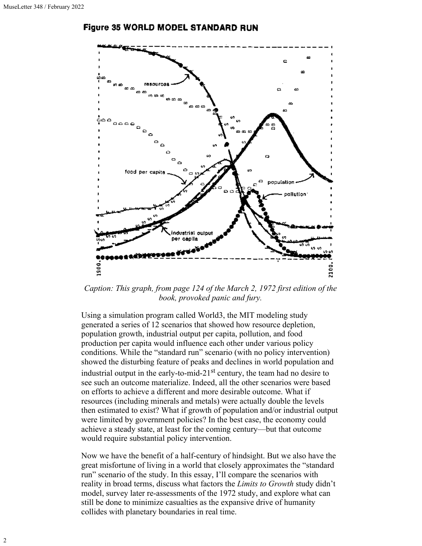### **Figure 35 WORLD MODEL STANDARD RUN**



*Caption: This graph, from page 124 of the March 2, 1972 first edition of the book, provoked panic and fury.*

Using a simulation program called World3, the MIT modeling study generated a series of 12 scenarios that showed how resource depletion, population growth, industrial output per capita, pollution, and food production per capita would influence each other under various policy conditions. While the "standard run" scenario (with no policy intervention) showed the disturbing feature of peaks and declines in world population and industrial output in the early-to-mid-21<sup>st</sup> century, the team had no desire to see such an outcome materialize. Indeed, all the other scenarios were based on efforts to achieve a different and more desirable outcome. What if resources (including minerals and metals) were actually double the levels then estimated to exist? What if growth of population and/or industrial output were limited by government policies? In the best case, the economy could achieve a steady state, at least for the coming century—but that outcome would require substantial policy intervention.

Now we have the benefit of a half-century of hindsight. But we also have the great misfortune of living in a world that closely approximates the "standard run" scenario of the study. In this essay, I'll compare the scenarios with reality in broad terms, discuss what factors the *Limits to Growth* study didn't model, survey later re-assessments of the 1972 study, and explore what can still be done to minimize casualties as the expansive drive of humanity collides with planetary boundaries in real time.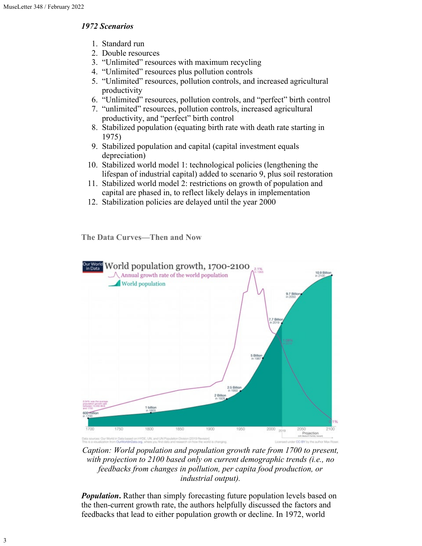### *1972 Scenarios*

- 1. Standard run
- 2. Double resources
- 3. "Unlimited" resources with maximum recycling
- 4. "Unlimited" resources plus pollution controls
- 5. "Unlimited" resources, pollution controls, and increased agricultural productivity
- 6. "Unlimited" resources, pollution controls, and "perfect" birth control
- 7. "unlimited" resources, pollution controls, increased agricultural productivity, and "perfect" birth control
- 8. Stabilized population (equating birth rate with death rate starting in 1975)
- 9. Stabilized population and capital (capital investment equals depreciation)
- 10. Stabilized world model 1: technological policies (lengthening the lifespan of industrial capital) added to scenario 9, plus soil restoration
- 11. Stabilized world model 2: restrictions on growth of population and capital are phased in, to reflect likely delays in implementation
- 12. Stabilization policies are delayed until the year 2000

**The Data Curves—Then and Now**



*Caption: World population and population growth rate from 1700 to present, with projection to 2100 based only on current demographic trends (i.e., no feedbacks from changes in pollution, per capita food production, or industrial output).*

*Population*. Rather than simply forecasting future population levels based on the then-current growth rate, the authors helpfully discussed the factors and feedbacks that lead to either population growth or decline. In 1972, world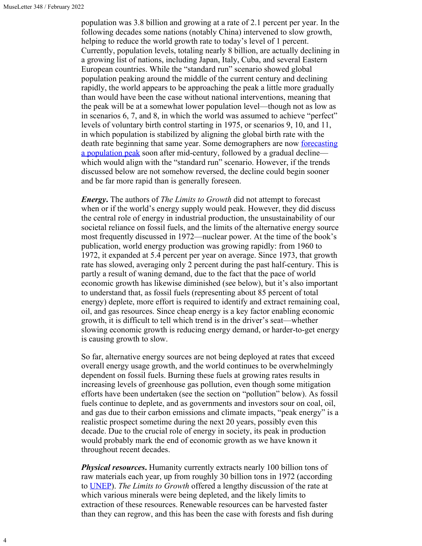4

population was 3.8 billion and growing at a rate of 2.1 percent per year. In the following decades some nations (notably China) intervened to slow growth, helping to reduce the world growth rate to today's level of 1 percent. Currently, population levels, totaling nearly 8 billion, are actually declining in a growing list of nations, including Japan, Italy, Cuba, and several Eastern European countries. While the "standard run" scenario showed global population peaking around the middle of the current century and declining rapidly, the world appears to be approaching the peak a little more gradually than would have been the case without national interventions, meaning that the peak will be at a somewhat lower population level—though not as low as in scenarios 6, 7, and 8, in which the world was assumed to achieve "perfect" levels of voluntary birth control starting in 1975, or scenarios 9, 10, and 11, in which population is stabilized by aligning the global birth rate with the death rate beginning that same year. Some demographers are now [forecasting](https://www.nature.com/articles/d41586-021-02522-6) [a population peak](https://www.nature.com/articles/d41586-021-02522-6) soon after mid-century, followed by a gradual decline which would align with the "standard run" scenario. However, if the trends discussed below are not somehow reversed, the decline could begin sooner and be far more rapid than is generally foreseen.

*Energy***.** The authors of *The Limits to Growth* did not attempt to forecast when or if the world's energy supply would peak. However, they did discuss the central role of energy in industrial production, the unsustainability of our societal reliance on fossil fuels, and the limits of the alternative energy source most frequently discussed in 1972—nuclear power. At the time of the book's publication, world energy production was growing rapidly: from 1960 to 1972, it expanded at 5.4 percent per year on average. Since 1973, that growth rate has slowed, averaging only 2 percent during the past half-century. This is partly a result of waning demand, due to the fact that the pace of world economic growth has likewise diminished (see below), but it's also important to understand that, as fossil fuels (representing about 85 percent of total energy) deplete, more effort is required to identify and extract remaining coal, oil, and gas resources. Since cheap energy is a key factor enabling economic growth, it is difficult to tell which trend is in the driver's seat—whether slowing economic growth is reducing energy demand, or harder-to-get energy is causing growth to slow.

So far, alternative energy sources are not being deployed at rates that exceed overall energy usage growth, and the world continues to be overwhelmingly dependent on fossil fuels. Burning these fuels at growing rates results in increasing levels of greenhouse gas pollution, even though some mitigation efforts have been undertaken (see the section on "pollution" below). As fossil fuels continue to deplete, and as governments and investors sour on coal, oil, and gas due to their carbon emissions and climate impacts, "peak energy" is a realistic prospect sometime during the next 20 years, possibly even this decade. Due to the crucial role of energy in society, its peak in production would probably mark the end of economic growth as we have known it throughout recent decades.

*Physical resources***.** Humanity currently extracts nearly 100 billion tons of raw materials each year, up from roughly 30 billion tons in 1972 (according to [UNEP](https://www.unep.org/news-and-stories/story/were-gobbling-earths-resources-unsustainable-rate)). *The Limits to Growth* offered a lengthy discussion of the rate at which various minerals were being depleted, and the likely limits to extraction of these resources. Renewable resources can be harvested faster than they can regrow, and this has been the case with forests and fish during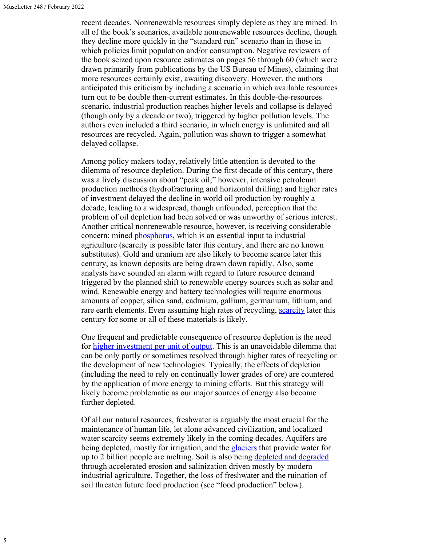recent decades. Nonrenewable resources simply deplete as they are mined. In all of the book's scenarios, available nonrenewable resources decline, though they decline more quickly in the "standard run" scenario than in those in which policies limit population and/or consumption. Negative reviewers of the book seized upon resource estimates on pages 56 through 60 (which were drawn primarily from publications by the US Bureau of Mines), claiming that more resources certainly exist, awaiting discovery. However, the authors anticipated this criticism by including a scenario in which available resources turn out to be double then-current estimates. In this double-the-resources scenario, industrial production reaches higher levels and collapse is delayed (though only by a decade or two), triggered by higher pollution levels. The authors even included a third scenario, in which energy is unlimited and all resources are recycled. Again, pollution was shown to trigger a somewhat delayed collapse.

Among policy makers today, relatively little attention is devoted to the dilemma of resource depletion. During the first decade of this century, there was a lively discussion about "peak oil;" however, intensive petroleum production methods (hydrofracturing and horizontal drilling) and higher rates of investment delayed the decline in world oil production by roughly a decade, leading to a widespread, though unfounded, perception that the problem of oil depletion had been solved or was unworthy of serious interest. Another critical nonrenewable resource, however, is receiving considerable concern: mined [phosphorus](https://www.tandfonline.com/doi/abs/10.1080/10643389.2013.866531), which is an essential input to industrial agriculture (scarcity is possible later this century, and there are no known substitutes). Gold and uranium are also likely to become scarce later this century, as known deposits are being drawn down rapidly. Also, some analysts have sounded an alarm with regard to future resource demand triggered by the planned shift to renewable energy sources such as solar and wind. Renewable energy and battery technologies will require enormous amounts of copper, silica sand, cadmium, gallium, germanium, lithium, and rare earth elements. Even assuming high rates of recycling, [scarcity](https://iea.blob.core.windows.net/assets/24d5dfbb-a77a-4647-abcc-667867207f74/TheRoleofCriticalMineralsinCleanEnergyTransitions.pdf) later this century for some or all of these materials is likely.

One frequent and predictable consequence of resource depletion is the need for [higher investment per unit of output.](https://theanalysis.news/resource-limits-to-american-capitalism-the-predator-state-today/) This is an unavoidable dilemma that can be only partly or sometimes resolved through higher rates of recycling or the development of new technologies. Typically, the effects of depletion (including the need to rely on continually lower grades of ore) are countered by the application of more energy to mining efforts. But this strategy will likely become problematic as our major sources of energy also become further depleted.

Of all our natural resources, freshwater is arguably the most crucial for the maintenance of human life, let alone advanced civilization, and localized water scarcity seems extremely likely in the coming decades. Aquifers are being depleted, mostly for irrigation, and the **glaciers** that provide water for up to 2 billion people are melting. Soil is also being [depleted and degraded](https://www.nature.com/articles/s41467-017-02142-7) through accelerated erosion and salinization driven mostly by modern industrial agriculture. Together, the loss of freshwater and the ruination of soil threaten future food production (see "food production" below).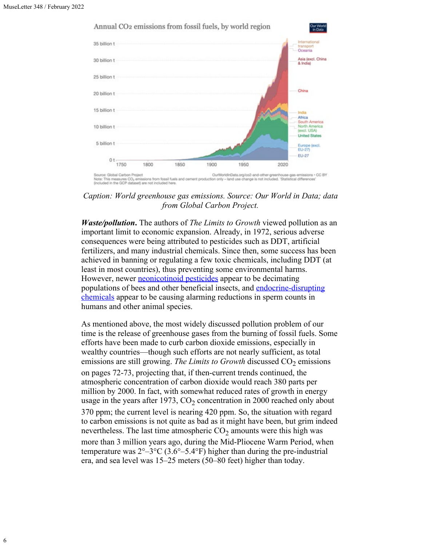

# Annual CO<sub>2</sub> emissions from fossil fuels, by world region

*Caption: World greenhouse gas emissions. Source: Our World in Data; data from Global Carbon Project.*

*Waste/pollution***.** The authors of *The Limits to Growth* viewed pollution as an important limit to economic expansion. Already, in 1972, serious adverse consequences were being attributed to pesticides such as DDT, artificial fertilizers, and many industrial chemicals. Since then, some success has been achieved in banning or regulating a few toxic chemicals, including DDT (at least in most countries), thus preventing some environmental harms. However, newer **neonicotinoid pesticides** appear to be decimating populations of bees and other beneficial insects, and [endocrine-disrupting](https://www.theguardian.com/commentisfree/2021/mar/18/toxic-chemicals-health-humanity-erin-brokovich) [chemicals](https://www.theguardian.com/commentisfree/2021/mar/18/toxic-chemicals-health-humanity-erin-brokovich) appear to be causing alarming reductions in sperm counts in humans and other animal species.

As mentioned above, the most widely discussed pollution problem of our time is the release of greenhouse gases from the burning of fossil fuels. Some efforts have been made to curb carbon dioxide emissions, especially in wealthy countries—though such efforts are not nearly sufficient, as total emissions are still growing. *The Limits to Growth* discussed CO<sub>2</sub> emissions on pages 72-73, projecting that, if then-current trends continued, the atmospheric concentration of carbon dioxide would reach 380 parts per million by 2000. In fact, with somewhat reduced rates of growth in energy usage in the years after 1973,  $CO<sub>2</sub>$  concentration in 2000 reached only about 370 ppm; the current level is nearing 420 ppm. So, the situation with regard to carbon emissions is not quite as bad as it might have been, but grim indeed nevertheless. The last time atmospheric  $CO<sub>2</sub>$  amounts were this high was more than 3 million years ago, during the Mid-Pliocene Warm Period, when temperature was  $2^{\circ}-3^{\circ}C$  (3.6°–5.4°F) higher than during the pre-industrial era, and sea level was 15–25 meters (50–80 feet) higher than today.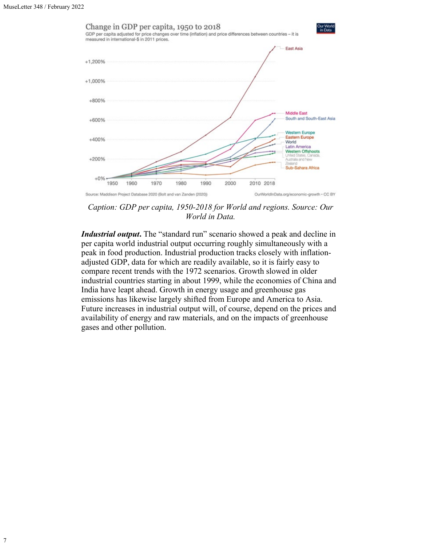

*Caption: GDP per capita, 1950-2018 for World and regions. Source: Our World in Data.*

*Industrial output***.** The "standard run" scenario showed a peak and decline in per capita world industrial output occurring roughly simultaneously with a peak in food production. Industrial production tracks closely with inflationadjusted GDP, data for which are readily available, so it is fairly easy to compare recent trends with the 1972 scenarios. Growth slowed in older industrial countries starting in about 1999, while the economies of China and India have leapt ahead. Growth in energy usage and greenhouse gas emissions has likewise largely shifted from Europe and America to Asia. Future increases in industrial output will, of course, depend on the prices and availability of energy and raw materials, and on the impacts of greenhouse gases and other pollution.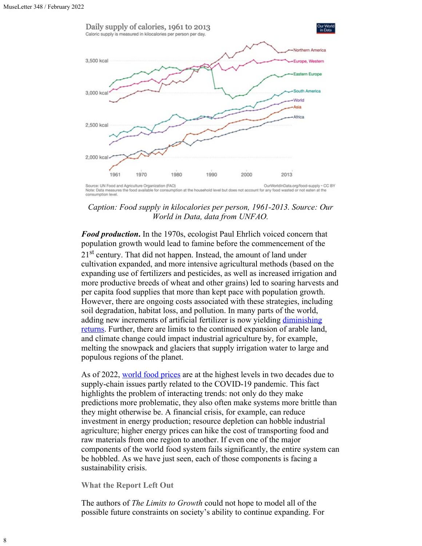

*Caption: Food supply in kilocalories per person, 1961-2013. Source: Our World in Data, data from UNFAO.*

*Food production***.** In the 1970s, ecologist Paul Ehrlich voiced concern that population growth would lead to famine before the commencement of the

21<sup>st</sup> century. That did not happen. Instead, the amount of land under cultivation expanded, and more intensive agricultural methods (based on the expanding use of fertilizers and pesticides, as well as increased irrigation and more productive breeds of wheat and other grains) led to soaring harvests and per capita food supplies that more than kept pace with population growth. However, there are ongoing costs associated with these strategies, including soil degradation, habitat loss, and pollution. In many parts of the world, adding new increments of artificial fertilizer is now yielding [diminishing](https://grist.org/article/many-countries-reaching-diminishing-returns-in-fertilizer-use/) [returns](https://grist.org/article/many-countries-reaching-diminishing-returns-in-fertilizer-use/). Further, there are limits to the continued expansion of arable land, and climate change could impact industrial agriculture by, for example, melting the snowpack and glaciers that supply irrigation water to large and populous regions of the planet.

As of 2022, [world food prices](https://www.fao.org/worldfoodsituation/foodpricesindex/en/) are at the highest levels in two decades due to supply-chain issues partly related to the COVID-19 pandemic. This fact highlights the problem of interacting trends: not only do they make predictions more problematic, they also often make systems more brittle than they might otherwise be. A financial crisis, for example, can reduce investment in energy production; resource depletion can hobble industrial agriculture; higher energy prices can hike the cost of transporting food and raw materials from one region to another. If even one of the major components of the world food system fails significantly, the entire system can be hobbled. As we have just seen, each of those components is facing a sustainability crisis.

**What the Report Left Out**

The authors of *The Limits to Growth* could not hope to model all of the possible future constraints on society's ability to continue expanding. For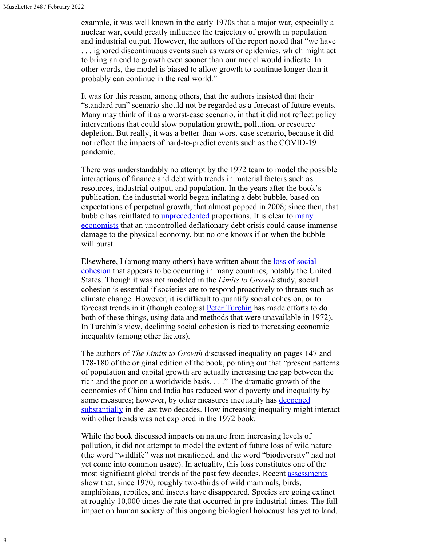example, it was well known in the early 1970s that a major war, especially a nuclear war, could greatly influence the trajectory of growth in population and industrial output. However, the authors of the report noted that "we have . . . ignored discontinuous events such as wars or epidemics, which might act to bring an end to growth even sooner than our model would indicate. In other words, the model is biased to allow growth to continue longer than it probably can continue in the real world."

It was for this reason, among others, that the authors insisted that their "standard run" scenario should not be regarded as a forecast of future events. Many may think of it as a worst-case scenario, in that it did not reflect policy interventions that could slow population growth, pollution, or resource depletion. But really, it was a better-than-worst-case scenario, because it did not reflect the impacts of hard-to-predict events such as the COVID-19 pandemic.

There was understandably no attempt by the 1972 team to model the possible interactions of finance and debt with trends in material factors such as resources, industrial output, and population. In the years after the book's publication, the industrial world began inflating a debt bubble, based on expectations of perpetual growth, that almost popped in 2008; since then, that bubble has reinflated to *unprecedented* proportions. It is clear to [many](https://press.princeton.edu/books/paperback/9780691152646/this-time-is-different) [economists](https://press.princeton.edu/books/paperback/9780691152646/this-time-is-different) that an uncontrolled deflationary debt crisis could cause immense damage to the physical economy, but no one knows if or when the bubble will burst.

Elsewhere, I (among many others) have written about the <u>loss of social</u> [cohesion](https://www.resilience.org/stories/2022-01-13/social-cohesion-is-vital-and-were-losing-it/) that appears to be occurring in many countries, notably the United States. Though it was not modeled in the *Limits to Growth* study, social cohesion is essential if societies are to respond proactively to threats such as climate change. However, it is difficult to quantify social cohesion, or to forecast trends in it (though ecologist [Peter Turchin](https://peterturchin.com/) has made efforts to do both of these things, using data and methods that were unavailable in 1972). In Turchin's view, declining social cohesion is tied to increasing economic inequality (among other factors).

The authors of *The Limits to Growth* discussed inequality on pages 147 and 178-180 of the original edition of the book, pointing out that "present patterns of population and capital growth are actually increasing the gap between the rich and the poor on a worldwide basis. . . ." The dramatic growth of the economies of China and India has reduced world poverty and inequality by some measures; however, by other measures inequality has **[deepened](https://wir2018.wid.world/executive-summary.html)** [substantially](https://wir2018.wid.world/executive-summary.html) in the last two decades. How increasing inequality might interact with other trends was not explored in the 1972 book.

While the book discussed impacts on nature from increasing levels of pollution, it did not attempt to model the extent of future loss of wild nature (the word "wildlife" was not mentioned, and the word "biodiversity" had not yet come into common usage). In actuality, this loss constitutes one of the most significant global trends of the past few decades. Recent [assessments](https://f.hubspotusercontent20.net/hubfs/4783129/LPR/PDFs/ENGLISH-FULL.pdf) show that, since 1970, roughly two-thirds of wild mammals, birds, amphibians, reptiles, and insects have disappeared. Species are going extinct at roughly 10,000 times the rate that occurred in pre-industrial times. The full impact on human society of this ongoing biological holocaust has yet to land.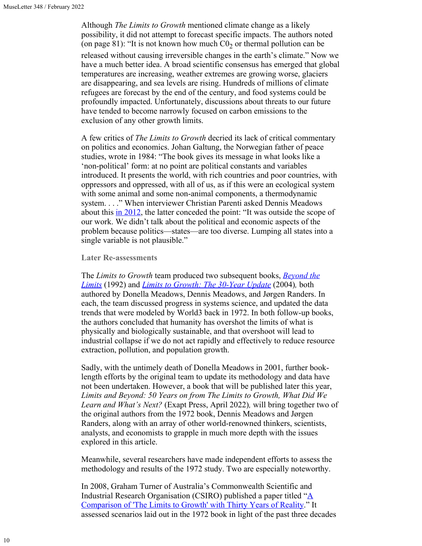Although *The Limits to Growth* mentioned climate change as a likely possibility, it did not attempt to forecast specific impacts. The authors noted (on page 81): "It is not known how much  $C_0$  or thermal pollution can be released without causing irreversible changes in the earth's climate." Now we have a much better idea. A broad scientific consensus has emerged that global temperatures are increasing, weather extremes are growing worse, glaciers are disappearing, and sea levels are rising. Hundreds of millions of climate refugees are forecast by the end of the century, and food systems could be profoundly impacted. Unfortunately, discussions about threats to our future have tended to become narrowly focused on carbon emissions to the exclusion of any other growth limits.

A few critics of *The Limits to Growth* decried its lack of critical commentary on politics and economics. Johan Galtung, the Norwegian father of peace studies, wrote in 1984: "The book gives its message in what looks like a 'non-political' form: at no point are political constants and variables introduced. It presents the world, with rich countries and poor countries, with oppressors and oppressed, with all of us, as if this were an ecological system with some animal and some non-animal components, a thermodynamic system. . . ." When interviewer Christian Parenti asked Dennis Meadows about this [in 2012](https://www.thenation.com/article/archive/limits-growth-book-launched-movement/), the latter conceded the point: "It was outside the scope of our work. We didn't talk about the political and economic aspects of the problem because politics—states—are too diverse. Lumping all states into a single variable is not plausible."

#### **Later Re-assessments**

The *Limits to Growth* team produced two subsequent books, *[Beyond the](https://donellameadows.org/archives/beyond-the-limits-to-growth/) [Limits](https://donellameadows.org/archives/beyond-the-limits-to-growth/)* (1992) and *[Limits to Growth: The 30-Year Update](https://donellameadows.org/archives/a-synopsis-limits-to-growth-the-30-year-update/)* (2004)*,* both authored by Donella Meadows, Dennis Meadows, and Jørgen Randers. In each, the team discussed progress in systems science, and updated the data trends that were modeled by World3 back in 1972. In both follow-up books, the authors concluded that humanity has overshot the limits of what is physically and biologically sustainable, and that overshoot will lead to industrial collapse if we do not act rapidly and effectively to reduce resource extraction, pollution, and population growth.

Sadly, with the untimely death of Donella Meadows in 2001, further booklength efforts by the original team to update its methodology and data have not been undertaken. However, a book that will be published later this year, *Limits and Beyond: 50 Years on from The Limits to Growth, What Did We Learn and What's Next?* (Exapt Press, April 2022)*,* will bring together two of the original authors from the 1972 book, Dennis Meadows and Jørgen Randers, along with an array of other world-renowned thinkers, scientists, analysts, and economists to grapple in much more depth with the issues explored in this article.

Meanwhile, several researchers have made independent efforts to assess the methodology and results of the 1972 study. Two are especially noteworthy.

In 2008, Graham Turner of Australia's Commonwealth Scientific and Industrial Research Organisation (CSIRO) published a paper titled " $\underline{A}$  $\underline{A}$  $\underline{A}$ [Comparison of 'The Limits to Growth' with Thirty Years of Reality.](https://www.sciencedirect.com/science/article/abs/pii/S0959378008000435)" It assessed scenarios laid out in the 1972 book in light of the past three decades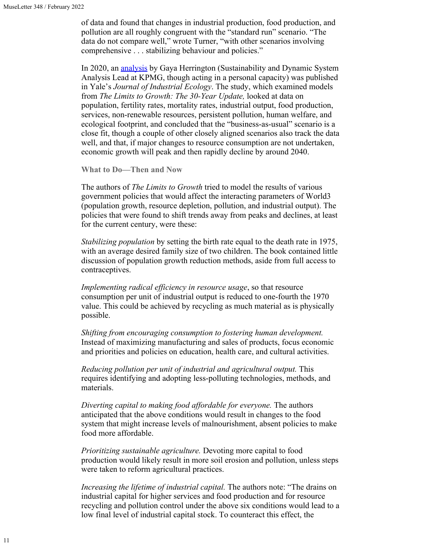of data and found that changes in industrial production, food production, and pollution are all roughly congruent with the "standard run" scenario. "The data do not compare well," wrote Turner, "with other scenarios involving comprehensive . . . stabilizing behaviour and policies."

In 2020, an [analysis](https://advisory.kpmg.us/content/dam/advisory/en/pdfs/2021/yale-publication.pdf) by Gaya Herrington (Sustainability and Dynamic System Analysis Lead at KPMG, though acting in a personal capacity) was published in Yale's *Journal of Industrial Ecology*. The study, which examined models from *The Limits to Growth: The 30-Year Update,* looked at data on population, fertility rates, mortality rates, industrial output, food production, services, non-renewable resources, persistent pollution, human welfare, and ecological footprint, and concluded that the "business-as-usual" scenario is a close fit, though a couple of other closely aligned scenarios also track the data well, and that, if major changes to resource consumption are not undertaken, economic growth will peak and then rapidly decline by around 2040.

**What to Do—Then and Now**

The authors of *The Limits to Growth* tried to model the results of various government policies that would affect the interacting parameters of World3 (population growth, resource depletion, pollution, and industrial output). The policies that were found to shift trends away from peaks and declines, at least for the current century, were these:

*Stabilizing population* by setting the birth rate equal to the death rate in 1975, with an average desired family size of two children. The book contained little discussion of population growth reduction methods, aside from full access to contraceptives.

*Implementing radical efficiency in resource usage*, so that resource consumption per unit of industrial output is reduced to one-fourth the 1970 value. This could be achieved by recycling as much material as is physically possible.

*Shifting from encouraging consumption to fostering human development.* Instead of maximizing manufacturing and sales of products, focus economic and priorities and policies on education, health care, and cultural activities.

*Reducing pollution per unit of industrial and agricultural output.* This requires identifying and adopting less-polluting technologies, methods, and materials.

*Diverting capital to making food affordable for everyone.* The authors anticipated that the above conditions would result in changes to the food system that might increase levels of malnourishment, absent policies to make food more affordable.

*Prioritizing sustainable agriculture.* Devoting more capital to food production would likely result in more soil erosion and pollution, unless steps were taken to reform agricultural practices.

*Increasing the lifetime of industrial capital.* The authors note: "The drains on industrial capital for higher services and food production and for resource recycling and pollution control under the above six conditions would lead to a low final level of industrial capital stock. To counteract this effect, the